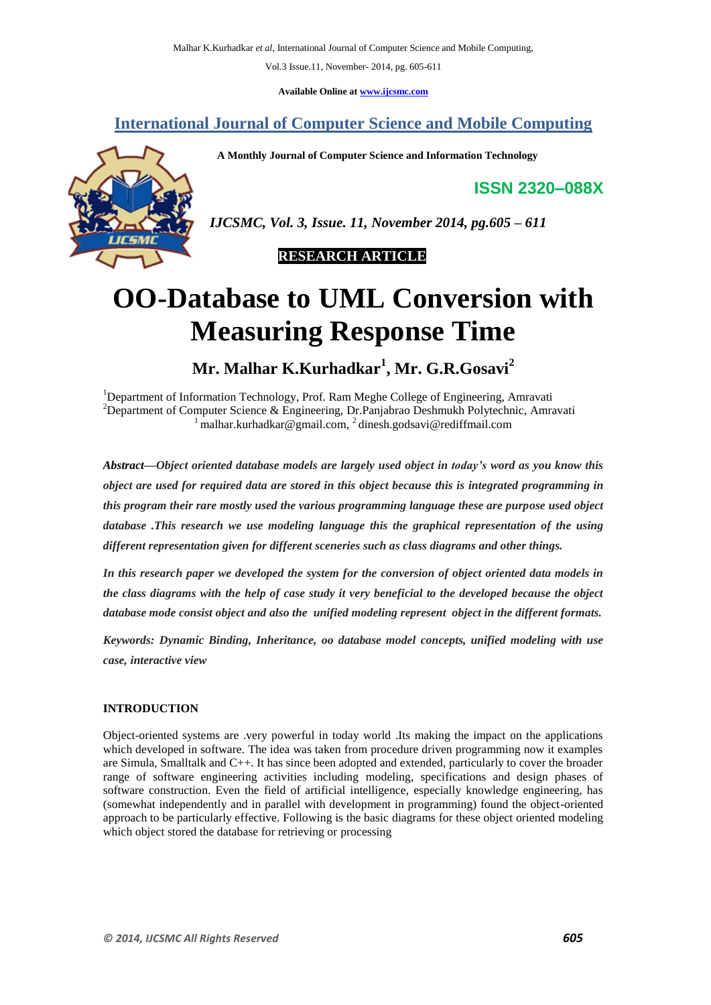Vol.3 Issue.11, November- 2014, pg. 605-611

**Available Online at [www.ijcsmc.com](http://www.ijcsmc.com/)**

# **International Journal of Computer Science and Mobile Computing**

 **A Monthly Journal of Computer Science and Information Technology**



**ISSN 2320–088X**

*IJCSMC, Vol. 3, Issue. 11, November 2014, pg.605 – 611*

 **RESEARCH ARTICLE**

# **OO-Database to UML Conversion with Measuring Response Time**

**Mr. Malhar K.Kurhadkar<sup>1</sup> , Mr. G.R.Gosavi<sup>2</sup>**

<sup>1</sup>Department of Information Technology, Prof. Ram Meghe College of Engineering, Amravati <sup>2</sup>Department of Computer Science & Engineering, Dr.Panjabrao Deshmukh Polytechnic, Amravati  $\frac{1}{2}$ malhar.kurhadkar@gmail.com,  $\frac{2}{2}$ [dinesh.godsavi@rediffmail.com](mailto:1%20malhar.kurhadkar@gmail.com,%202%20dinesh.godsavi@rediffmail.com)

*Abstract—Object oriented database models are largely used object in today's word as you know this object are used for required data are stored in this object because this is integrated programming in this program their rare mostly used the various programming language these are purpose used object database .This research we use modeling language this the graphical representation of the using different representation given for different sceneries such as class diagrams and other things.*

*In this research paper we developed the system for the conversion of object oriented data models in the class diagrams with the help of case study it very beneficial to the developed because the object database mode consist object and also the unified modeling represent object in the different formats.*

*Keywords: Dynamic Binding, Inheritance, oo database model concepts, unified modeling with use case, interactive view*

#### **INTRODUCTION**

Object-oriented systems are .very powerful in today world .Its making the impact on the applications which developed in software. The idea was taken from procedure driven programming now it examples are Simula, Smalltalk and C++. It has since been adopted and extended, particularly to cover the broader range of software engineering activities including modeling, specifications and design phases of software construction. Even the field of artificial intelligence, especially knowledge engineering, has (somewhat independently and in parallel with development in programming) found the object-oriented approach to be particularly effective. Following is the basic diagrams for these object oriented modeling which object stored the database for retrieving or processing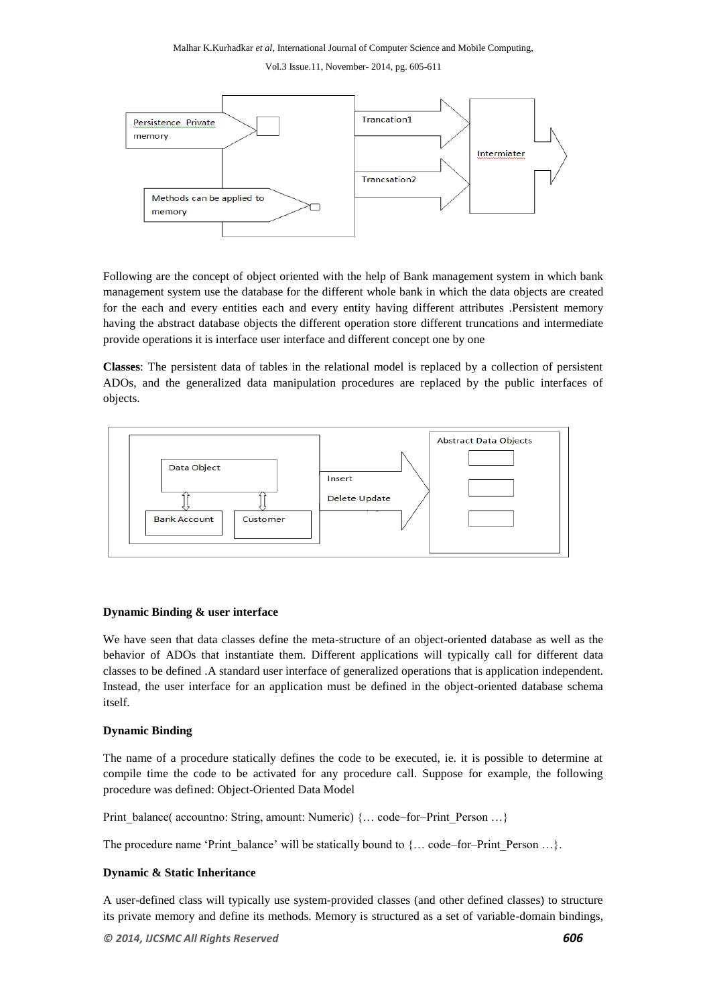Vol.3 Issue.11, November- 2014, pg. 605-611



Following are the concept of object oriented with the help of Bank management system in which bank management system use the database for the different whole bank in which the data objects are created for the each and every entities each and every entity having different attributes .Persistent memory having the abstract database objects the different operation store different truncations and intermediate provide operations it is interface user interface and different concept one by one

**Classes**: The persistent data of tables in the relational model is replaced by a collection of persistent ADOs, and the generalized data manipulation procedures are replaced by the public interfaces of objects.



#### **Dynamic Binding & user interface**

We have seen that data classes define the meta-structure of an object-oriented database as well as the behavior of ADOs that instantiate them. Different applications will typically call for different data classes to be defined .A standard user interface of generalized operations that is application independent. Instead, the user interface for an application must be defined in the object-oriented database schema itself.

#### **Dynamic Binding**

The name of a procedure statically defines the code to be executed, ie. it is possible to determine at compile time the code to be activated for any procedure call. Suppose for example, the following procedure was defined: Object-Oriented Data Model

Print\_balance( accountno: String, amount: Numeric) {… code–for–Print\_Person …}

The procedure name 'Print\_balance' will be statically bound to {... code–for–Print\_Person ...}.

#### **Dynamic & Static Inheritance**

A user-defined class will typically use system-provided classes (and other defined classes) to structure its private memory and define its methods. Memory is structured as a set of variable-domain bindings,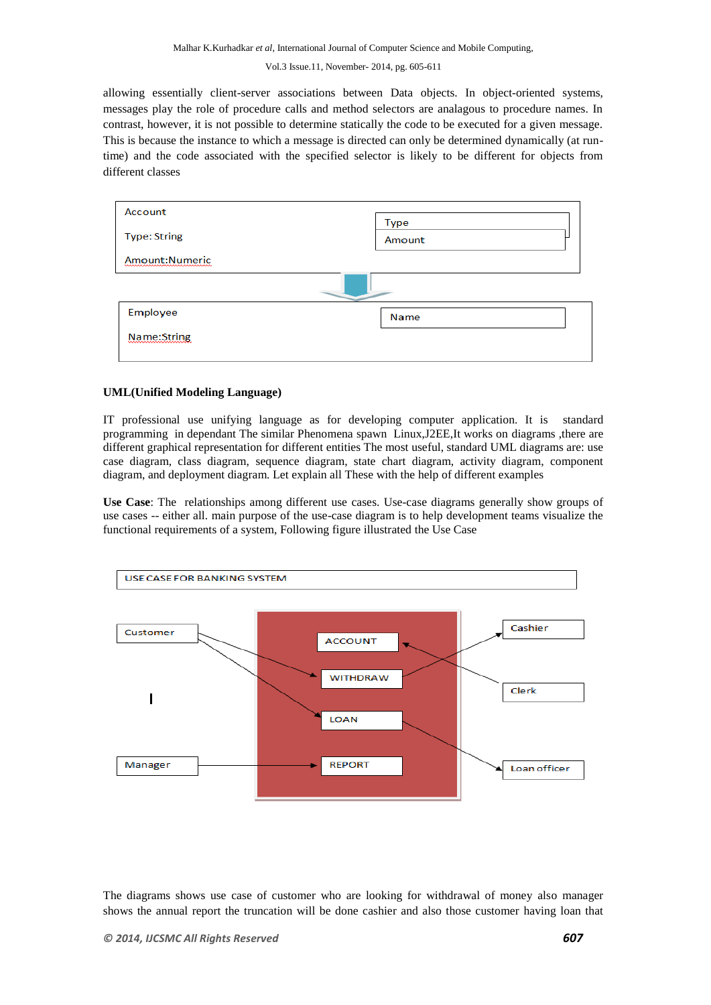allowing essentially client-server associations between Data objects. In object-oriented systems, messages play the role of procedure calls and method selectors are analagous to procedure names. In contrast, however, it is not possible to determine statically the code to be executed for a given message. This is because the instance to which a message is directed can only be determined dynamically (at runtime) and the code associated with the specified selector is likely to be different for objects from different classes

| Account             | Type   |  |
|---------------------|--------|--|
| <b>Type: String</b> | Amount |  |
| Amount:Numeric      |        |  |
|                     |        |  |
| Employee            | Name   |  |
| Name:String         |        |  |
|                     |        |  |

#### **UML(Unified Modeling Language)**

IT professional use unifying language as for developing computer application. It is standard programming in dependant The similar Phenomena spawn Linux,J2EE,It works on diagrams ,there are different graphical representation for different entities The most useful, standard UML diagrams are: use case diagram, class diagram, sequence diagram, state chart diagram, activity diagram, component diagram, and deployment diagram. Let explain all These with the help of different examples

**Use Case**: The relationships among different use cases. Use-case diagrams generally show groups of use cases -- either all. main purpose of the use-case diagram is to help development teams visualize the functional requirements of a system, Following figure illustrated the Use Case



The diagrams shows use case of customer who are looking for withdrawal of money also manager shows the annual report the truncation will be done cashier and also those customer having loan that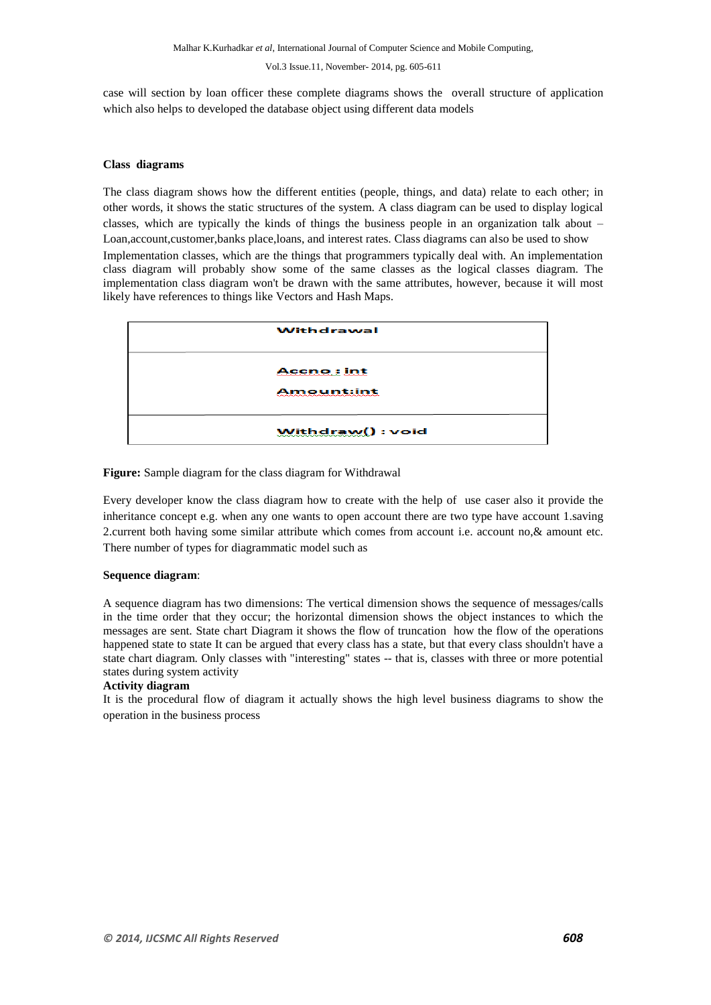case will section by loan officer these complete diagrams shows the overall structure of application which also helps to developed the database object using different data models

#### **Class diagrams**

The class diagram shows how the different entities (people, things, and data) relate to each other; in other words, it shows the static structures of the system. A class diagram can be used to display logical classes, which are typically the kinds of things the business people in an organization talk about – Loan,account,customer,banks place,loans, and interest rates. Class diagrams can also be used to show Implementation classes, which are the things that programmers typically deal with. An implementation class diagram will probably show some of the same classes as the logical classes diagram. The implementation class diagram won't be drawn with the same attributes, however, because it will most likely have references to things like Vectors and Hash Maps.

| Withdrawal                             |
|----------------------------------------|
|                                        |
| <b>Accno:</b> int<br>maaanaanaan saana |
| <b>Amount:int</b>                      |
|                                        |
| Withdraw(): void                       |

**Figure:** Sample diagram for the class diagram for Withdrawal

Every developer know the class diagram how to create with the help of use caser also it provide the inheritance concept e.g. when any one wants to open account there are two type have account 1.saving 2.current both having some similar attribute which comes from account i.e. account no,& amount etc. There number of types for diagrammatic model such as

#### **Sequence diagram**:

A sequence diagram has two dimensions: The vertical dimension shows the sequence of messages/calls in the time order that they occur; the horizontal dimension shows the object instances to which the messages are sent. State chart Diagram it shows the flow of truncation how the flow of the operations happened state to state It can be argued that every class has a state, but that every class shouldn't have a state chart diagram. Only classes with "interesting" states -- that is, classes with three or more potential states during system activity

#### **Activity diagram**

It is the procedural flow of diagram it actually shows the high level business diagrams to show the operation in the business process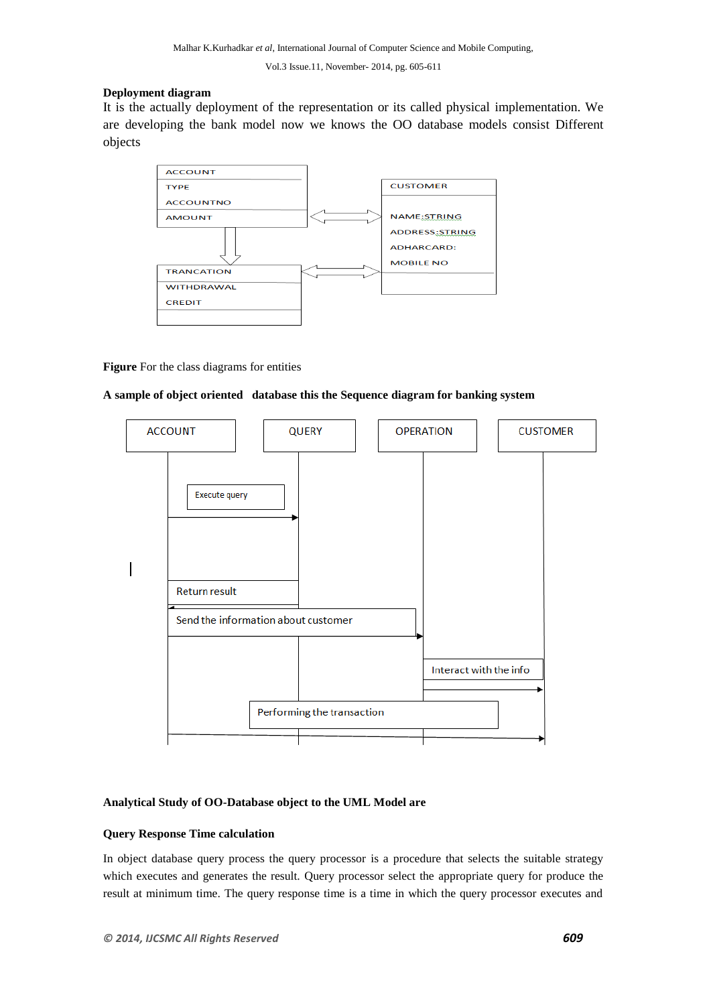# **Deployment diagram**

It is the actually deployment of the representation or its called physical implementation. We are developing the bank model now we knows the OO database models consist Different objects



# **Figure** For the class diagrams for entities

# **A sample of object oriented database this the Sequence diagram for banking system**



# **Analytical Study of OO-Database object to the UML Model are**

# **Query Response Time calculation**

In object database query process the query processor is a procedure that selects the suitable strategy which executes and generates the result. Query processor select the appropriate query for produce the result at minimum time. The query response time is a time in which the query processor executes and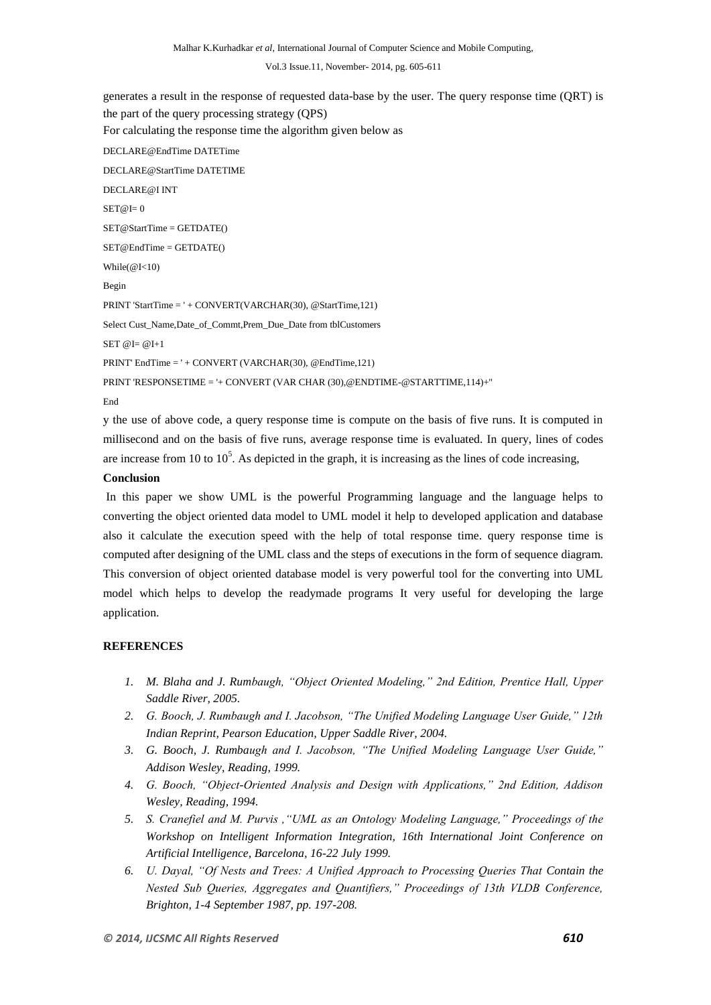generates a result in the response of requested data-base by the user. The query response time (QRT) is the part of the query processing strategy (QPS) For calculating the response time the algorithm given below as DECLARE@EndTime DATETime DECLARE@StartTime DATETIME DECLARE@I INT  $SET@I=0$ SET@StartTime = GETDATE() SET@EndTime = GETDATE() While(@I<10) Begin PRINT 'StartTime = ' + CONVERT(VARCHAR(30), @StartTime,121) Select Cust\_Name,Date\_of\_Commt,Prem\_Due\_Date from tblCustomers  $SET @I = @I+1$ PRINT' EndTime = ' + CONVERT (VARCHAR(30), @EndTime,121) PRINT 'RESPONSETIME = '+ CONVERT (VAR CHAR (30),@ENDTIME-@STARTTIME,114)+'' End

y the use of above code, a query response time is compute on the basis of five runs. It is computed in millisecond and on the basis of five runs, average response time is evaluated. In query, lines of codes are increase from 10 to  $10^5$ . As depicted in the graph, it is increasing as the lines of code increasing,

#### **Conclusion**

In this paper we show UML is the powerful Programming language and the language helps to converting the object oriented data model to UML model it help to developed application and database also it calculate the execution speed with the help of total response time. query response time is computed after designing of the UML class and the steps of executions in the form of sequence diagram. This conversion of object oriented database model is very powerful tool for the converting into UML model which helps to develop the readymade programs It very useful for developing the large application.

# **REFERENCES**

- *1. M. Blaha and J. Rumbaugh, "Object Oriented Modeling," 2nd Edition, Prentice Hall, Upper Saddle River, 2005.*
- *2. G. Booch, J. Rumbaugh and I. Jacobson, "The Unified Modeling Language User Guide," 12th Indian Reprint, Pearson Education, Upper Saddle River, 2004.*
- *3. G. Booch, J. Rumbaugh and I. Jacobson, "The Unified Modeling Language User Guide," Addison Wesley, Reading, 1999.*
- *4. G. Booch, "Object-Oriented Analysis and Design with Applications," 2nd Edition, Addison Wesley, Reading, 1994.*
- *5. S. Cranefiel and M. Purvis ,"UML as an Ontology Modeling Language," Proceedings of the Workshop on Intelligent Information Integration, 16th International Joint Conference on Artificial Intelligence, Barcelona, 16-22 July 1999.*
- *6. U. Dayal, "Of Nests and Trees: A Unified Approach to Processing Queries That Contain the Nested Sub Queries, Aggregates and Quantifiers," Proceedings of 13th VLDB Conference, Brighton, 1-4 September 1987, pp. 197-208.*